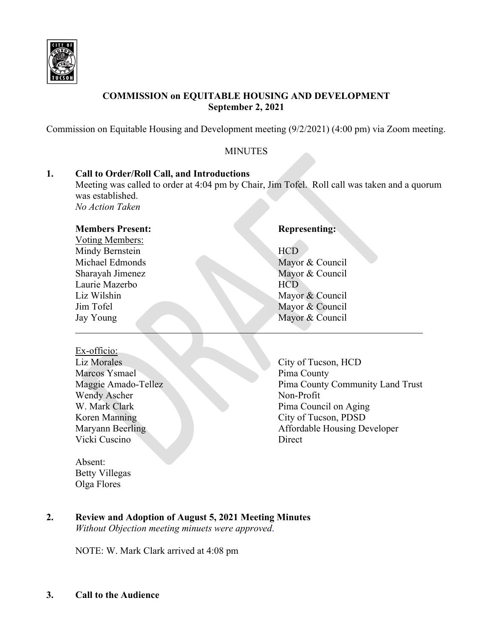

# **COMMISSION on EQUITABLE HOUSING AND DEVELOPMENT September 2, 2021**

Commission on Equitable Housing and Development meeting (9/2/2021) (4:00 pm) via Zoom meeting.

### **MINUTES**

#### **1. Call to Order/Roll Call, and Introductions**

Meeting was called to order at 4:04 pm by Chair, Jim Tofel. Roll call was taken and a quorum was established.

*No Action Taken*

#### **Members Present: Representing:**

Voting Members: Mindy Bernstein HCD Laurie Mazerbo **HCD** 

#### Ex-officio:

Marcos Ysmael Wendy Ascher Non-Profit Vicki Cuscino Direct

Absent: Betty Villegas Olga Flores

Michael Edmonds Mayor & Council Sharayah Jimenez Mayor & Council Liz Wilshin Mayor & Council Jim Tofel Mayor & Council Jay Young Mayor & Council

Liz Morales City of Tucson, HCD<br>Marcos Ysmael Pima County Maggie Amado-Tellez Pima County Community Land Trust W. Mark Clark Pima Council on Aging Koren Manning City of Tucson, PDSD Maryann Beerling and The Affordable Housing Developer

# **2. Review and Adoption of August 5, 2021 Meeting Minutes**

*Without Objection meeting minuets were approved*.

NOTE: W. Mark Clark arrived at 4:08 pm

**3. Call to the Audience**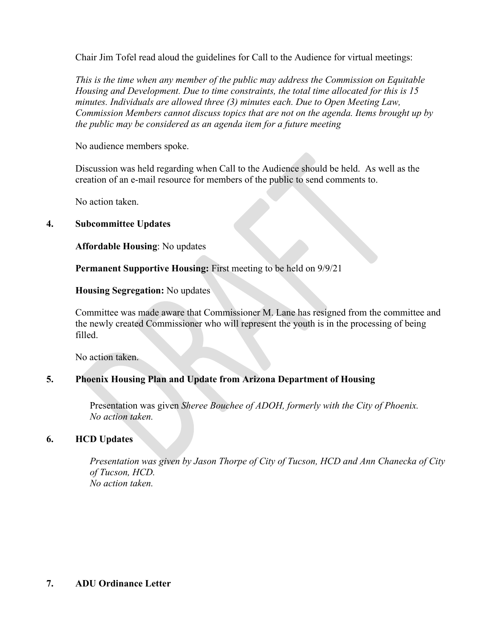Chair Jim Tofel read aloud the guidelines for Call to the Audience for virtual meetings:

*This is the time when any member of the public may address the Commission on Equitable Housing and Development. Due to time constraints, the total time allocated for this is 15 minutes. Individuals are allowed three (3) minutes each. Due to Open Meeting Law, Commission Members cannot discuss topics that are not on the agenda. Items brought up by the public may be considered as an agenda item for a future meeting*

No audience members spoke.

Discussion was held regarding when Call to the Audience should be held. As well as the creation of an e-mail resource for members of the public to send comments to.

No action taken.

#### **4. Subcommittee Updates**

**Affordable Housing**: No updates

**Permanent Supportive Housing:** First meeting to be held on 9/9/21

**Housing Segregation:** No updates

Committee was made aware that Commissioner M. Lane has resigned from the committee and the newly created Commissioner who will represent the youth is in the processing of being filled.

No action taken.

#### **5. Phoenix Housing Plan and Update from Arizona Department of Housing**

Presentation was given *Sheree Bouchee of ADOH, formerly with the City of Phoenix. No action taken.*

### **6. HCD Updates**

*Presentation was given by Jason Thorpe of City of Tucson, HCD and Ann Chanecka of City of Tucson, HCD. No action taken.*

#### **7. ADU Ordinance Letter**